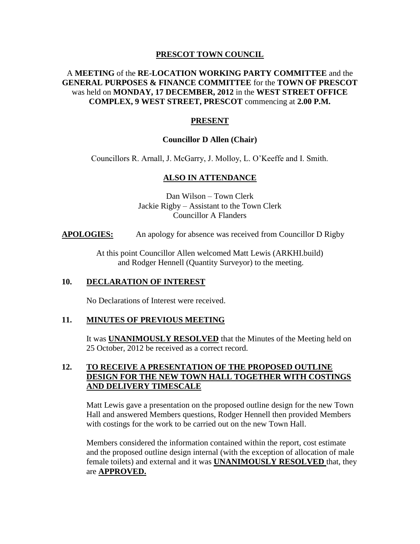#### **PRESCOT TOWN COUNCIL**

## A **MEETING** of the **RE-LOCATION WORKING PARTY COMMITTEE** and the **GENERAL PURPOSES & FINANCE COMMITTEE** for the **TOWN OF PRESCOT**  was held on **MONDAY, 17 DECEMBER, 2012** in the **WEST STREET OFFICE COMPLEX, 9 WEST STREET, PRESCOT** commencing at **2.00 P.M.**

# **PRESENT**

### **Councillor D Allen (Chair)**

Councillors R. Arnall, J. McGarry, J. Molloy, L. O'Keeffe and I. Smith.

## **ALSO IN ATTENDANCE**

Dan Wilson – Town Clerk Jackie Rigby – Assistant to the Town Clerk Councillor A Flanders

**APOLOGIES:** An apology for absence was received from Councillor D Rigby

At this point Councillor Allen welcomed Matt Lewis (ARKHI.build) and Rodger Hennell (Quantity Surveyor) to the meeting.

#### **10. DECLARATION OF INTEREST**

No Declarations of Interest were received.

## **11. MINUTES OF PREVIOUS MEETING**

It was **UNANIMOUSLY RESOLVED** that the Minutes of the Meeting held on 25 October, 2012 be received as a correct record.

### **12. TO RECEIVE A PRESENTATION OF THE PROPOSED OUTLINE DESIGN FOR THE NEW TOWN HALL TOGETHER WITH COSTINGS AND DELIVERY TIMESCALE**

Matt Lewis gave a presentation on the proposed outline design for the new Town Hall and answered Members questions, Rodger Hennell then provided Members with costings for the work to be carried out on the new Town Hall.

Members considered the information contained within the report, cost estimate and the proposed outline design internal (with the exception of allocation of male female toilets) and external and it was **UNANIMOUSLY RESOLVED** that, they are **APPROVED.**